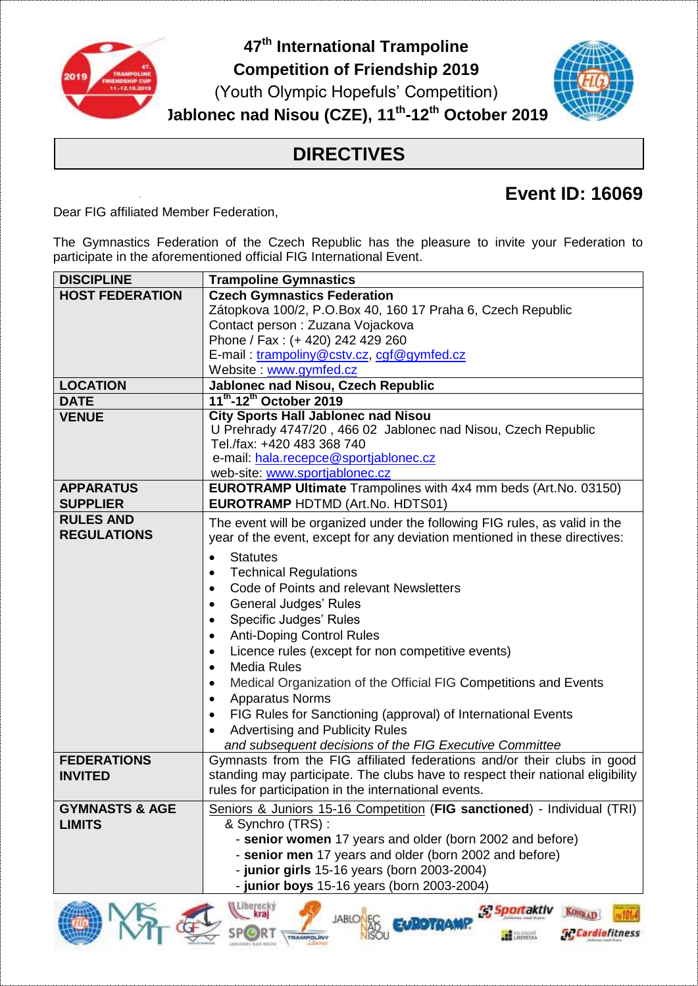

**47 th International Trampoline Competition of Friendship 2019** (Youth Olympic Hopefuls' Competition) **Jablonec nad Nisou (CZE), 11 th -12 th October 2019**



## **DIRECTIVES**

## **Event ID: 16069**

Dear FIG affiliated Member Federation,

The Gymnastics Federation of the Czech Republic has the pleasure to invite your Federation to participate in the aforementioned official FIG International Event.

| <b>DISCIPLINE</b>         | <b>Trampoline Gymnastics</b>                                                                                        |  |  |
|---------------------------|---------------------------------------------------------------------------------------------------------------------|--|--|
| <b>HOST FEDERATION</b>    | <b>Czech Gymnastics Federation</b>                                                                                  |  |  |
|                           | Zátopkova 100/2, P.O.Box 40, 160 17 Praha 6, Czech Republic                                                         |  |  |
|                           | Contact person: Zuzana Vojackova                                                                                    |  |  |
|                           | Phone / Fax: (+ 420) 242 429 260                                                                                    |  |  |
|                           | E-mail: trampoliny@cstv.cz, cgf@gymfed.cz                                                                           |  |  |
|                           | Website: www.gymfed.cz                                                                                              |  |  |
| <b>LOCATION</b>           | Jablonec nad Nisou, Czech Republic                                                                                  |  |  |
| <b>DATE</b>               | 11 <sup>th</sup> -12 <sup>th</sup> October 2019                                                                     |  |  |
| <b>VENUE</b>              | <b>City Sports Hall Jablonec nad Nisou</b>                                                                          |  |  |
|                           | U Prehrady 4747/20, 466 02 Jablonec nad Nisou, Czech Republic<br>Tel./fax: +420 483 368 740                         |  |  |
|                           | e-mail: hala.recepce@sportjablonec.cz                                                                               |  |  |
|                           | web-site: www.sportjablonec.cz                                                                                      |  |  |
| <b>APPARATUS</b>          | <b>EUROTRAMP Ultimate</b> Trampolines with 4x4 mm beds (Art.No. 03150)                                              |  |  |
| <b>SUPPLIER</b>           | <b>EUROTRAMP HDTMD (Art.No. HDTS01)</b>                                                                             |  |  |
| <b>RULES AND</b>          | The event will be organized under the following FIG rules, as valid in the                                          |  |  |
| <b>REGULATIONS</b>        | year of the event, except for any deviation mentioned in these directives:                                          |  |  |
|                           |                                                                                                                     |  |  |
|                           | <b>Statutes</b><br>$\bullet$                                                                                        |  |  |
|                           | <b>Technical Regulations</b><br>$\bullet$                                                                           |  |  |
|                           | Code of Points and relevant Newsletters<br>$\bullet$                                                                |  |  |
|                           | <b>General Judges' Rules</b><br>$\bullet$                                                                           |  |  |
|                           | Specific Judges' Rules<br>$\bullet$                                                                                 |  |  |
|                           | <b>Anti-Doping Control Rules</b><br>$\bullet$                                                                       |  |  |
|                           | Licence rules (except for non competitive events)<br>$\bullet$<br><b>Media Rules</b>                                |  |  |
|                           | $\bullet$                                                                                                           |  |  |
|                           | Medical Organization of the Official FIG Competitions and Events<br>$\bullet$                                       |  |  |
|                           | <b>Apparatus Norms</b><br>$\bullet$                                                                                 |  |  |
|                           | FIG Rules for Sanctioning (approval) of International Events<br>$\bullet$<br><b>Advertising and Publicity Rules</b> |  |  |
|                           | and subsequent decisions of the FIG Executive Committee                                                             |  |  |
| <b>FEDERATIONS</b>        | Gymnasts from the FIG affiliated federations and/or their clubs in good                                             |  |  |
| <b>INVITED</b>            | standing may participate. The clubs have to respect their national eligibility                                      |  |  |
|                           | rules for participation in the international events.                                                                |  |  |
| <b>GYMNASTS &amp; AGE</b> |                                                                                                                     |  |  |
| <b>LIMITS</b>             | Seniors & Juniors 15-16 Competition (FIG sanctioned) - Individual (TRI)<br>& Synchro (TRS):                         |  |  |
|                           | - senior women 17 years and older (born 2002 and before)                                                            |  |  |
|                           | - senior men 17 years and older (born 2002 and before)                                                              |  |  |
|                           | - junior girls 15-16 years (born 2003-2004)                                                                         |  |  |
|                           | - junior boys 15-16 years (born 2003-2004)                                                                          |  |  |
|                           |                                                                                                                     |  |  |

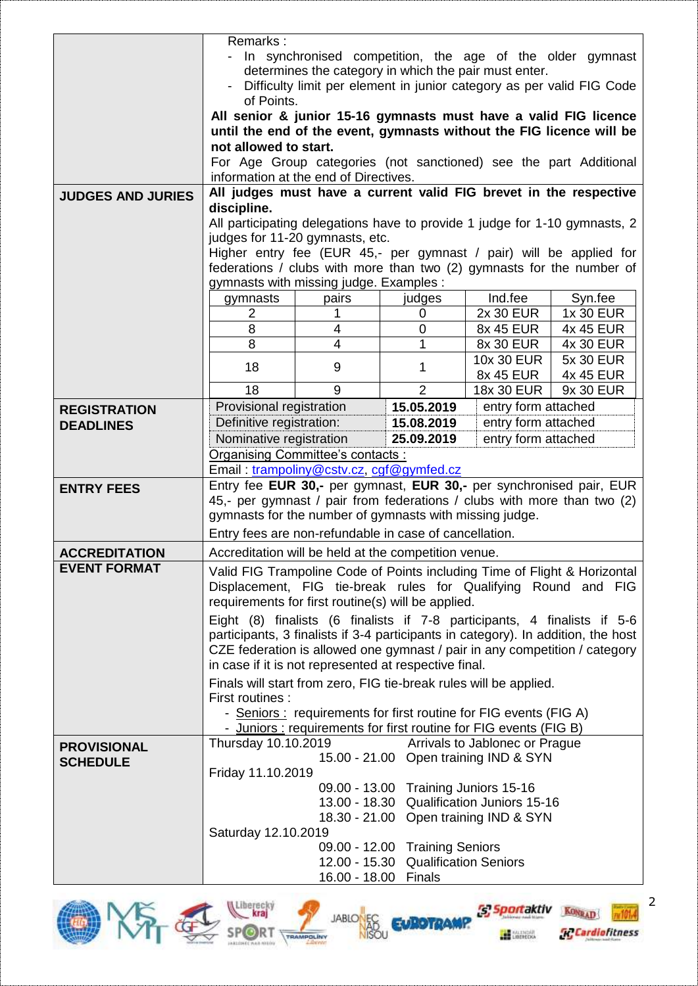|                          | Remarks:<br>- In synchronised competition, the age of the older gymnast<br>determines the category in which the pair must enter.<br>Difficulty limit per element in junior category as per valid FIG Code |                                       |                                                                |                                                                         |                                                                                   |
|--------------------------|-----------------------------------------------------------------------------------------------------------------------------------------------------------------------------------------------------------|---------------------------------------|----------------------------------------------------------------|-------------------------------------------------------------------------|-----------------------------------------------------------------------------------|
|                          | of Points.                                                                                                                                                                                                |                                       |                                                                |                                                                         |                                                                                   |
|                          | All senior & junior 15-16 gymnasts must have a valid FIG licence<br>until the end of the event, gymnasts without the FIG licence will be                                                                  |                                       |                                                                |                                                                         |                                                                                   |
|                          | not allowed to start.                                                                                                                                                                                     |                                       |                                                                |                                                                         |                                                                                   |
|                          |                                                                                                                                                                                                           | information at the end of Directives. |                                                                |                                                                         | For Age Group categories (not sanctioned) see the part Additional                 |
|                          |                                                                                                                                                                                                           |                                       |                                                                |                                                                         |                                                                                   |
| <b>JUDGES AND JURIES</b> | All judges must have a current valid FIG brevet in the respective<br>discipline.                                                                                                                          |                                       |                                                                |                                                                         |                                                                                   |
|                          | All participating delegations have to provide 1 judge for 1-10 gymnasts, 2                                                                                                                                |                                       |                                                                |                                                                         |                                                                                   |
|                          | judges for 11-20 gymnasts, etc.                                                                                                                                                                           |                                       |                                                                |                                                                         |                                                                                   |
|                          | Higher entry fee (EUR 45,- per gymnast / pair) will be applied for                                                                                                                                        |                                       |                                                                |                                                                         |                                                                                   |
|                          | federations / clubs with more than two (2) gymnasts for the number of                                                                                                                                     |                                       |                                                                |                                                                         |                                                                                   |
|                          | gymnasts with missing judge. Examples :<br>gymnasts                                                                                                                                                       | pairs                                 |                                                                | Ind.fee                                                                 | Syn.fee                                                                           |
|                          | 2                                                                                                                                                                                                         |                                       | judges<br>0                                                    | 2x 30 EUR                                                               | 1x 30 EUR                                                                         |
|                          | 8                                                                                                                                                                                                         | 4                                     | 0                                                              | 8x 45 EUR                                                               | 4x 45 EUR                                                                         |
|                          | 8                                                                                                                                                                                                         | $\overline{4}$                        | 1                                                              | 8x 30 EUR                                                               | 4x 30 EUR                                                                         |
|                          |                                                                                                                                                                                                           |                                       |                                                                | 10x 30 EUR                                                              | 5x 30 EUR                                                                         |
|                          | 18                                                                                                                                                                                                        | 9                                     | 1                                                              | 8x 45 EUR                                                               | 4x 45 EUR                                                                         |
|                          | 18                                                                                                                                                                                                        | 9                                     | $\overline{2}$                                                 | 18x 30 EUR                                                              | 9x 30 EUR                                                                         |
| <b>REGISTRATION</b>      | Provisional registration                                                                                                                                                                                  |                                       | 15.05.2019                                                     | entry form attached                                                     |                                                                                   |
| <b>DEADLINES</b>         | Definitive registration:                                                                                                                                                                                  |                                       | 15.08.2019                                                     | entry form attached                                                     |                                                                                   |
|                          | Nominative registration                                                                                                                                                                                   |                                       | 25.09.2019                                                     | entry form attached                                                     |                                                                                   |
|                          | <b>Organising Committee's contacts:</b><br>Email: trampoliny@cstv.cz, cgf@gymfed.cz                                                                                                                       |                                       |                                                                |                                                                         |                                                                                   |
|                          |                                                                                                                                                                                                           |                                       |                                                                |                                                                         | Entry fee EUR 30,- per gymnast, EUR 30,- per synchronised pair, EUR               |
| <b>ENTRY FEES</b>        | 45,- per gymnast / pair from federations / clubs with more than two (2)                                                                                                                                   |                                       |                                                                |                                                                         |                                                                                   |
|                          | gymnasts for the number of gymnasts with missing judge.                                                                                                                                                   |                                       |                                                                |                                                                         |                                                                                   |
|                          | Entry fees are non-refundable in case of cancellation.                                                                                                                                                    |                                       |                                                                |                                                                         |                                                                                   |
| <b>ACCREDITATION</b>     | Accreditation will be held at the competition venue.                                                                                                                                                      |                                       |                                                                |                                                                         |                                                                                   |
| <b>EVENT FORMAT</b>      | Valid FIG Trampoline Code of Points including Time of Flight & Horizontal                                                                                                                                 |                                       |                                                                |                                                                         |                                                                                   |
|                          | Displacement, FIG tie-break rules for Qualifying Round and FIG                                                                                                                                            |                                       |                                                                |                                                                         |                                                                                   |
|                          | requirements for first routine(s) will be applied.                                                                                                                                                        |                                       |                                                                |                                                                         |                                                                                   |
|                          | Eight (8) finalists (6 finalists if 7-8 participants, 4 finalists if 5-6                                                                                                                                  |                                       |                                                                |                                                                         |                                                                                   |
|                          |                                                                                                                                                                                                           |                                       |                                                                |                                                                         | participants, 3 finalists if 3-4 participants in category). In addition, the host |
|                          | CZE federation is allowed one gymnast / pair in any competition / category                                                                                                                                |                                       |                                                                |                                                                         |                                                                                   |
|                          | in case if it is not represented at respective final.<br>Finals will start from zero, FIG tie-break rules will be applied.                                                                                |                                       |                                                                |                                                                         |                                                                                   |
|                          | First routines:                                                                                                                                                                                           |                                       |                                                                |                                                                         |                                                                                   |
|                          | - Seniors: requirements for first routine for FIG events (FIG A)                                                                                                                                          |                                       |                                                                |                                                                         |                                                                                   |
|                          |                                                                                                                                                                                                           |                                       |                                                                | - Juniors: requirements for first routine for FIG events (FIG B)        |                                                                                   |
| <b>PROVISIONAL</b>       | Thursday 10.10.2019                                                                                                                                                                                       |                                       |                                                                | Arrivals to Jablonec or Prague<br>15.00 - 21.00 Open training IND & SYN |                                                                                   |
| <b>SCHEDULE</b>          | Friday 11.10.2019                                                                                                                                                                                         |                                       |                                                                |                                                                         |                                                                                   |
|                          |                                                                                                                                                                                                           |                                       | 09.00 - 13.00 Training Juniors 15-16                           |                                                                         |                                                                                   |
|                          |                                                                                                                                                                                                           |                                       |                                                                | 13.00 - 18.30 Qualification Juniors 15-16                               |                                                                                   |
|                          |                                                                                                                                                                                                           |                                       |                                                                | 18.30 - 21.00 Open training IND & SYN                                   |                                                                                   |
|                          | Saturday 12.10.2019                                                                                                                                                                                       |                                       |                                                                |                                                                         |                                                                                   |
|                          |                                                                                                                                                                                                           | 12.00 - 15.30                         | 09.00 - 12.00 Training Seniors<br><b>Qualification Seniors</b> |                                                                         |                                                                                   |
|                          |                                                                                                                                                                                                           | 16.00 - 18.00                         | Finals                                                         |                                                                         |                                                                                   |
|                          |                                                                                                                                                                                                           |                                       |                                                                |                                                                         |                                                                                   |







2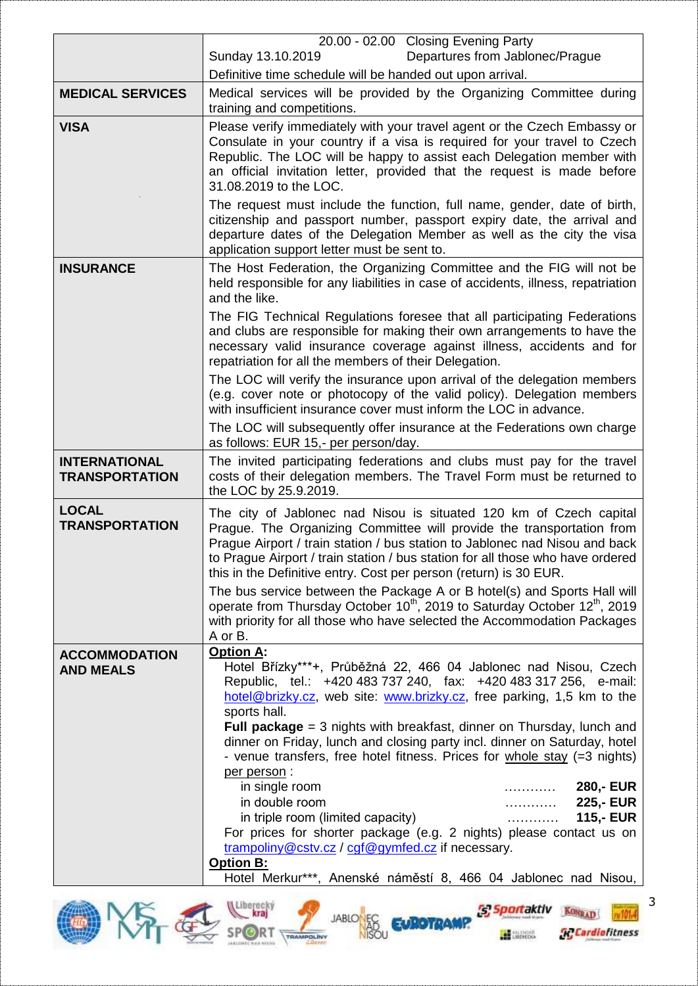|                                               | 20.00 - 02.00 Closing Evening Party                                                                                                                                                                                                                                                                                                                                                                                                                                                                                                                                                                              |  |  |  |
|-----------------------------------------------|------------------------------------------------------------------------------------------------------------------------------------------------------------------------------------------------------------------------------------------------------------------------------------------------------------------------------------------------------------------------------------------------------------------------------------------------------------------------------------------------------------------------------------------------------------------------------------------------------------------|--|--|--|
|                                               | Sunday 13.10.2019<br>Departures from Jablonec/Prague<br>Definitive time schedule will be handed out upon arrival.                                                                                                                                                                                                                                                                                                                                                                                                                                                                                                |  |  |  |
| <b>MEDICAL SERVICES</b>                       | Medical services will be provided by the Organizing Committee during                                                                                                                                                                                                                                                                                                                                                                                                                                                                                                                                             |  |  |  |
|                                               | training and competitions.                                                                                                                                                                                                                                                                                                                                                                                                                                                                                                                                                                                       |  |  |  |
| <b>VISA</b>                                   | Please verify immediately with your travel agent or the Czech Embassy or<br>Consulate in your country if a visa is required for your travel to Czech<br>Republic. The LOC will be happy to assist each Delegation member with<br>an official invitation letter, provided that the request is made before<br>31.08.2019 to the LOC.<br>The request must include the function, full name, gender, date of birth,<br>citizenship and passport number, passport expiry date, the arrival and<br>departure dates of the Delegation Member as well as the city the visa<br>application support letter must be sent to. |  |  |  |
|                                               |                                                                                                                                                                                                                                                                                                                                                                                                                                                                                                                                                                                                                  |  |  |  |
| <b>INSURANCE</b>                              | The Host Federation, the Organizing Committee and the FIG will not be<br>held responsible for any liabilities in case of accidents, illness, repatriation<br>and the like.                                                                                                                                                                                                                                                                                                                                                                                                                                       |  |  |  |
|                                               | The FIG Technical Regulations foresee that all participating Federations<br>and clubs are responsible for making their own arrangements to have the<br>necessary valid insurance coverage against illness, accidents and for<br>repatriation for all the members of their Delegation.                                                                                                                                                                                                                                                                                                                            |  |  |  |
|                                               | The LOC will verify the insurance upon arrival of the delegation members<br>(e.g. cover note or photocopy of the valid policy). Delegation members<br>with insufficient insurance cover must inform the LOC in advance.                                                                                                                                                                                                                                                                                                                                                                                          |  |  |  |
|                                               | The LOC will subsequently offer insurance at the Federations own charge<br>as follows: EUR 15,- per person/day.                                                                                                                                                                                                                                                                                                                                                                                                                                                                                                  |  |  |  |
| <b>INTERNATIONAL</b><br><b>TRANSPORTATION</b> | The invited participating federations and clubs must pay for the travel<br>costs of their delegation members. The Travel Form must be returned to<br>the LOC by 25.9.2019.                                                                                                                                                                                                                                                                                                                                                                                                                                       |  |  |  |
| <b>LOCAL</b><br><b>TRANSPORTATION</b>         | The city of Jablonec nad Nisou is situated 120 km of Czech capital<br>Prague. The Organizing Committee will provide the transportation from<br>Prague Airport / train station / bus station to Jablonec nad Nisou and back<br>to Prague Airport / train station / bus station for all those who have ordered<br>this in the Definitive entry. Cost per person (return) is 30 EUR.                                                                                                                                                                                                                                |  |  |  |
|                                               | The bus service between the Package A or B hotel(s) and Sports Hall will<br>operate from Thursday October 10 <sup>th</sup> , 2019 to Saturday October 12 <sup>th</sup> , 2019<br>with priority for all those who have selected the Accommodation Packages<br>A or B.                                                                                                                                                                                                                                                                                                                                             |  |  |  |
| <b>ACCOMMODATION</b><br><b>AND MEALS</b>      | <b>Option A:</b><br>Hotel Břízky***+, Průběžná 22, 466 04 Jablonec nad Nisou, Czech<br>Republic, tel.: +420 483 737 240, fax: +420 483 317 256, e-mail:<br>hotel@brizky.cz, web site: www.brizky.cz, free parking, 1,5 km to the<br>sports hall.<br>Full package $=$ 3 nights with breakfast, dinner on Thursday, lunch and                                                                                                                                                                                                                                                                                      |  |  |  |
|                                               | dinner on Friday, lunch and closing party incl. dinner on Saturday, hotel<br>- venue transfers, free hotel fitness. Prices for whole stay (=3 nights)<br>per person:                                                                                                                                                                                                                                                                                                                                                                                                                                             |  |  |  |
|                                               | <b>280,- EUR</b><br>in single room<br>.                                                                                                                                                                                                                                                                                                                                                                                                                                                                                                                                                                          |  |  |  |
|                                               | in double room<br>225,- EUR<br>.<br>in triple room (limited capacity)<br><b>115,- EUR</b><br>.                                                                                                                                                                                                                                                                                                                                                                                                                                                                                                                   |  |  |  |
|                                               | For prices for shorter package (e.g. 2 nights) please contact us on<br>trampoliny@cstv.cz / cgf@gymfed.cz if necessary.                                                                                                                                                                                                                                                                                                                                                                                                                                                                                          |  |  |  |
|                                               | <b>Option B:</b><br>Hotel Merkur***, Anenské náměstí 8, 466 04 Jablonec nad Nisou,                                                                                                                                                                                                                                                                                                                                                                                                                                                                                                                               |  |  |  |
|                                               |                                                                                                                                                                                                                                                                                                                                                                                                                                                                                                                                                                                                                  |  |  |  |



3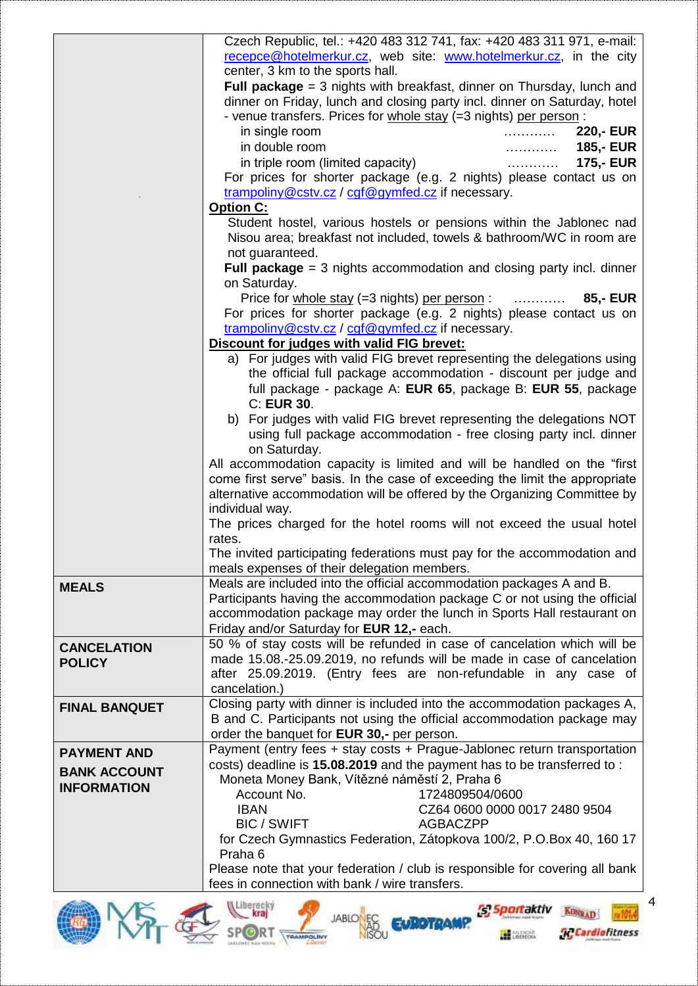|                      | Czech Republic, tel.: +420 483 312 741, fax: +420 483 311 971, e-mail:                                                |  |  |
|----------------------|-----------------------------------------------------------------------------------------------------------------------|--|--|
|                      | recepce@hotelmerkur.cz, web site: www.hotelmerkur.cz, in the city<br>center, 3 km to the sports hall.                 |  |  |
|                      | Full package $=$ 3 nights with breakfast, dinner on Thursday, lunch and                                               |  |  |
|                      | dinner on Friday, lunch and closing party incl. dinner on Saturday, hotel                                             |  |  |
|                      | - venue transfers. Prices for whole stay (=3 nights) per person :                                                     |  |  |
|                      | in single room<br>220,- EUR                                                                                           |  |  |
|                      | in double room<br>185,- EUR<br>.                                                                                      |  |  |
|                      | in triple room (limited capacity)<br><b>175,- EUR</b>                                                                 |  |  |
|                      | For prices for shorter package (e.g. 2 nights) please contact us on                                                   |  |  |
|                      | trampoliny@cstv.cz / cgf@gymfed.cz if necessary.                                                                      |  |  |
|                      | Option C:<br>Student hostel, various hostels or pensions within the Jablonec nad                                      |  |  |
|                      | Nisou area; breakfast not included, towels & bathroom/WC in room are                                                  |  |  |
|                      | not guaranteed.                                                                                                       |  |  |
|                      | Full package $=$ 3 nights accommodation and closing party incl. dinner                                                |  |  |
|                      | on Saturday.                                                                                                          |  |  |
|                      | Price for whole stay (=3 nights) per person:<br>85,- EUR                                                              |  |  |
|                      | For prices for shorter package (e.g. 2 nights) please contact us on                                                   |  |  |
|                      | trampoliny@cstv.cz / cgf@gymfed.cz if necessary.                                                                      |  |  |
|                      | Discount for judges with valid FIG brevet:<br>a) For judges with valid FIG brevet representing the delegations using  |  |  |
|                      | the official full package accommodation - discount per judge and                                                      |  |  |
|                      | full package - package A: EUR 65, package B: EUR 55, package                                                          |  |  |
|                      | C: EUR 30.                                                                                                            |  |  |
|                      | b) For judges with valid FIG brevet representing the delegations NOT                                                  |  |  |
|                      | using full package accommodation - free closing party incl. dinner                                                    |  |  |
|                      | on Saturday.                                                                                                          |  |  |
|                      | All accommodation capacity is limited and will be handled on the "first                                               |  |  |
|                      | come first serve" basis. In the case of exceeding the limit the appropriate                                           |  |  |
|                      | alternative accommodation will be offered by the Organizing Committee by<br>individual way.                           |  |  |
|                      | The prices charged for the hotel rooms will not exceed the usual hotel                                                |  |  |
|                      | rates.                                                                                                                |  |  |
|                      | The invited participating federations must pay for the accommodation and                                              |  |  |
|                      | meals expenses of their delegation members.                                                                           |  |  |
| <b>MEALS</b>         | Meals are included into the official accommodation packages A and B.                                                  |  |  |
|                      | Participants having the accommodation package C or not using the official                                             |  |  |
|                      | accommodation package may order the lunch in Sports Hall restaurant on                                                |  |  |
|                      | Friday and/or Saturday for EUR 12,- each.<br>50 % of stay costs will be refunded in case of cancelation which will be |  |  |
| <b>CANCELATION</b>   | made 15.08.-25.09.2019, no refunds will be made in case of cancelation                                                |  |  |
| <b>POLICY</b>        | after 25.09.2019. (Entry fees are non-refundable in any case of                                                       |  |  |
|                      | cancelation.)                                                                                                         |  |  |
| <b>FINAL BANQUET</b> | Closing party with dinner is included into the accommodation packages A,                                              |  |  |
|                      | B and C. Participants not using the official accommodation package may                                                |  |  |
|                      | order the banquet for EUR 30,- per person.                                                                            |  |  |
| <b>PAYMENT AND</b>   | Payment (entry fees + stay costs + Prague-Jablonec return transportation                                              |  |  |
| <b>BANK ACCOUNT</b>  | costs) deadline is 15.08.2019 and the payment has to be transferred to:                                               |  |  |
| <b>INFORMATION</b>   | Moneta Money Bank, Vítězné náměstí 2, Praha 6<br>Account No.<br>1724809504/0600                                       |  |  |
|                      | <b>IBAN</b><br>CZ64 0600 0000 0017 2480 9504                                                                          |  |  |
|                      | <b>BIC / SWIFT</b><br><b>AGBACZPP</b>                                                                                 |  |  |
|                      | for Czech Gymnastics Federation, Zátopkova 100/2, P.O.Box 40, 160 17                                                  |  |  |
|                      | Praha 6                                                                                                               |  |  |
|                      | Please note that your federation / club is responsible for covering all bank                                          |  |  |
|                      | fees in connection with bank / wire transfers.                                                                        |  |  |
|                      | A Liberecky                                                                                                           |  |  |
|                      |                                                                                                                       |  |  |
|                      | <b><i><u>FRAMPOLÍNA</u></i></b>                                                                                       |  |  |

4



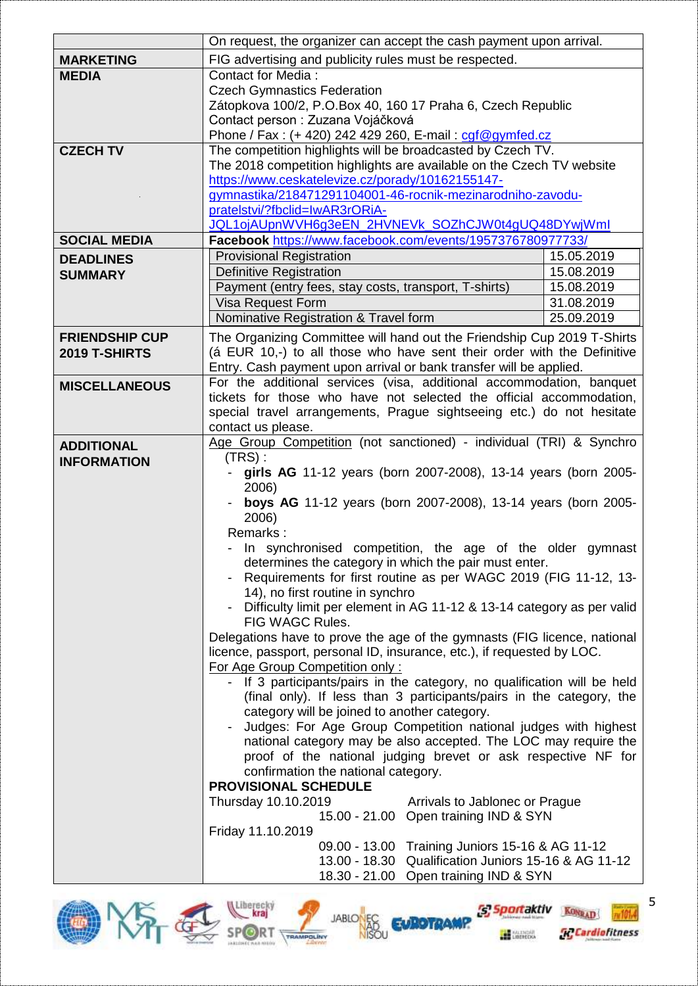|                       | On request, the organizer can accept the cash payment upon arrival.                                                                         |            |  |
|-----------------------|---------------------------------------------------------------------------------------------------------------------------------------------|------------|--|
| <b>MARKETING</b>      | FIG advertising and publicity rules must be respected.                                                                                      |            |  |
| <b>MEDIA</b>          | <b>Contact for Media:</b>                                                                                                                   |            |  |
|                       | <b>Czech Gymnastics Federation</b>                                                                                                          |            |  |
|                       | Zátopkova 100/2, P.O.Box 40, 160 17 Praha 6, Czech Republic                                                                                 |            |  |
|                       | Contact person : Zuzana Vojáčková                                                                                                           |            |  |
|                       | Phone / Fax: (+ 420) 242 429 260, E-mail: cgf@gymfed.cz                                                                                     |            |  |
| <b>CZECH TV</b>       | The competition highlights will be broadcasted by Czech TV.                                                                                 |            |  |
|                       | The 2018 competition highlights are available on the Czech TV website                                                                       |            |  |
|                       | https://www.ceskatelevize.cz/porady/10162155147-                                                                                            |            |  |
|                       | gymnastika/218471291104001-46-rocnik-mezinarodniho-zavodu-                                                                                  |            |  |
|                       | pratelstvi/?fbclid=IwAR3rORiA-                                                                                                              |            |  |
|                       | JQL1ojAUpnWVH6g3eEN_2HVNEVk_SOZhCJW0t4gUQ48DYwjWml                                                                                          |            |  |
| <b>SOCIAL MEDIA</b>   | Facebook https://www.facebook.com/events/1957376780977733/                                                                                  |            |  |
| <b>DEADLINES</b>      | <b>Provisional Registration</b>                                                                                                             | 15.05.2019 |  |
| <b>SUMMARY</b>        | <b>Definitive Registration</b><br>15.08.2019                                                                                                |            |  |
|                       | Payment (entry fees, stay costs, transport, T-shirts)                                                                                       | 15.08.2019 |  |
|                       | Visa Request Form                                                                                                                           | 31.08.2019 |  |
|                       | Nominative Registration & Travel form                                                                                                       | 25.09.2019 |  |
|                       |                                                                                                                                             |            |  |
| <b>FRIENDSHIP CUP</b> | The Organizing Committee will hand out the Friendship Cup 2019 T-Shirts                                                                     |            |  |
| 2019 T-SHIRTS         | (á EUR 10,-) to all those who have sent their order with the Definitive                                                                     |            |  |
|                       | Entry. Cash payment upon arrival or bank transfer will be applied.                                                                          |            |  |
| <b>MISCELLANEOUS</b>  | For the additional services (visa, additional accommodation, banquet<br>tickets for those who have not selected the official accommodation, |            |  |
|                       | special travel arrangements, Prague sightseeing etc.) do not hesitate                                                                       |            |  |
|                       |                                                                                                                                             |            |  |
|                       | contact us please.                                                                                                                          |            |  |
| <b>ADDITIONAL</b>     | Age Group Competition (not sanctioned) - individual (TRI) & Synchro                                                                         |            |  |
| <b>INFORMATION</b>    | $(TRS)$ :<br>girls AG 11-12 years (born 2007-2008), 13-14 years (born 2005-<br>2006)                                                        |            |  |
|                       |                                                                                                                                             |            |  |
|                       | boys AG 11-12 years (born 2007-2008), 13-14 years (born 2005-                                                                               |            |  |
|                       | 2006)                                                                                                                                       |            |  |
|                       | Remarks:                                                                                                                                    |            |  |
|                       | In synchronised competition, the age of the older gymnast                                                                                   |            |  |
|                       | determines the category in which the pair must enter.                                                                                       |            |  |
|                       | Requirements for first routine as per WAGC 2019 (FIG 11-12, 13-                                                                             |            |  |
|                       | 14), no first routine in synchro                                                                                                            |            |  |
|                       | Difficulty limit per element in AG 11-12 & 13-14 category as per valid                                                                      |            |  |
|                       | FIG WAGC Rules.                                                                                                                             |            |  |
|                       | Delegations have to prove the age of the gymnasts (FIG licence, national                                                                    |            |  |
|                       | licence, passport, personal ID, insurance, etc.), if requested by LOC.                                                                      |            |  |
|                       | For Age Group Competition only:                                                                                                             |            |  |
|                       | - If 3 participants/pairs in the category, no qualification will be held                                                                    |            |  |
|                       | (final only). If less than 3 participants/pairs in the category, the                                                                        |            |  |
|                       | category will be joined to another category.                                                                                                |            |  |
|                       | Judges: For Age Group Competition national judges with highest                                                                              |            |  |
|                       | national category may be also accepted. The LOC may require the                                                                             |            |  |
|                       | proof of the national judging brevet or ask respective NF for                                                                               |            |  |
|                       | confirmation the national category.                                                                                                         |            |  |
|                       | <b>PROVISIONAL SCHEDULE</b><br>Thursday 10.10.2019<br>Arrivals to Jablonec or Prague                                                        |            |  |
|                       | 15.00 - 21.00 Open training IND & SYN                                                                                                       |            |  |
|                       | Friday 11.10.2019                                                                                                                           |            |  |
|                       | 09.00 - 13.00 Training Juniors 15-16 & AG 11-12                                                                                             |            |  |
|                       | 13.00 - 18.30 Qualification Juniors 15-16 & AG 11-12                                                                                        |            |  |
|                       | 18.30 - 21.00 Open training IND & SYN                                                                                                       |            |  |
|                       |                                                                                                                                             |            |  |